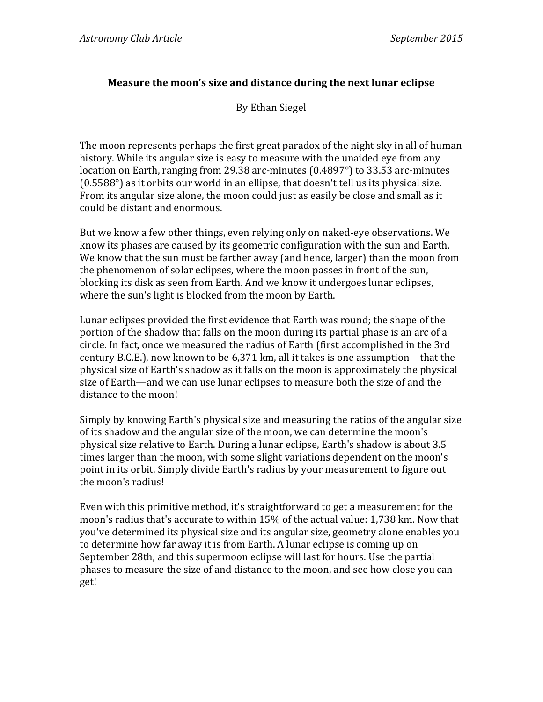## **Measure the moon's size and distance during the next lunar eclipse**

By Ethan Siegel

The moon represents perhaps the first great paradox of the night sky in all of human history. While its angular size is easy to measure with the unaided eve from any location on Earth, ranging from 29.38 arc-minutes  $(0.4897)$  to 33.53 arc-minutes  $(0.5588°)$  as it orbits our world in an ellipse, that doesn't tell us its physical size. From its angular size alone, the moon could just as easily be close and small as it could be distant and enormous.

But we know a few other things, even relying only on naked-eye observations. We know its phases are caused by its geometric configuration with the sun and Earth. We know that the sun must be farther away (and hence, larger) than the moon from the phenomenon of solar eclipses, where the moon passes in front of the sun, blocking its disk as seen from Earth. And we know it undergoes lunar eclipses, where the sun's light is blocked from the moon by Earth.

Lunar eclipses provided the first evidence that Earth was round; the shape of the portion of the shadow that falls on the moon during its partial phase is an arc of a circle. In fact, once we measured the radius of Earth (first accomplished in the 3rd century B.C.E.), now known to be  $6,371$  km, all it takes is one assumption—that the physical size of Earth's shadow as it falls on the moon is approximately the physical size of Earth—and we can use lunar eclipses to measure both the size of and the distance to the moon!

Simply by knowing Earth's physical size and measuring the ratios of the angular size of its shadow and the angular size of the moon, we can determine the moon's physical size relative to Earth. During a lunar eclipse, Earth's shadow is about 3.5 times larger than the moon, with some slight variations dependent on the moon's point in its orbit. Simply divide Earth's radius by your measurement to figure out the moon's radius!

Even with this primitive method, it's straightforward to get a measurement for the moon's radius that's accurate to within 15% of the actual value: 1,738 km. Now that you've determined its physical size and its angular size, geometry alone enables you to determine how far away it is from Earth. A lunar eclipse is coming up on September 28th, and this supermoon eclipse will last for hours. Use the partial phases to measure the size of and distance to the moon, and see how close you can get!